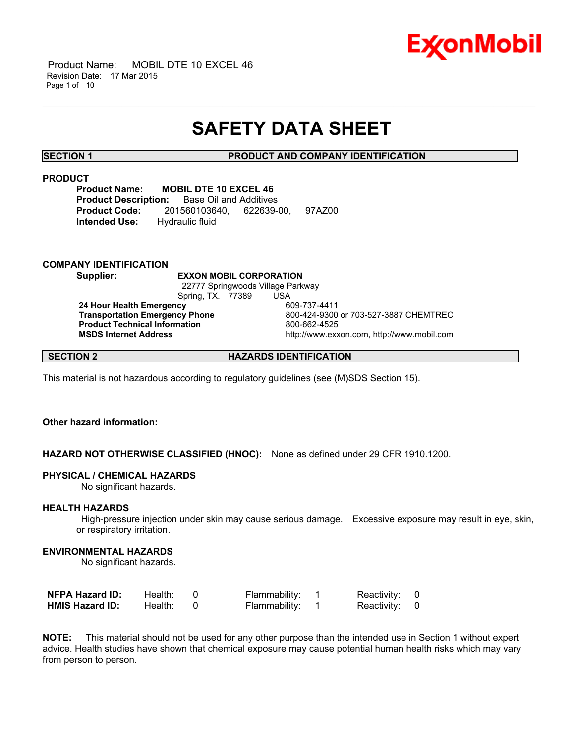

 Product Name: MOBIL DTE 10 EXCEL 46 Revision Date: 17 Mar 2015 Page 1 of 10

## **SAFETY DATA SHEET**

\_\_\_\_\_\_\_\_\_\_\_\_\_\_\_\_\_\_\_\_\_\_\_\_\_\_\_\_\_\_\_\_\_\_\_\_\_\_\_\_\_\_\_\_\_\_\_\_\_\_\_\_\_\_\_\_\_\_\_\_\_\_\_\_\_\_\_\_\_\_\_\_\_\_\_\_\_\_\_\_\_\_\_\_\_\_\_\_\_\_\_\_\_\_\_\_\_\_\_\_\_\_\_\_\_\_\_\_\_\_\_\_\_\_\_\_\_\_

**SECTION 1 PRODUCT AND COMPANY IDENTIFICATION**

## **PRODUCT**

**Product Name: MOBIL DTE 10 EXCEL 46 Product Description:** Base Oil and Additives **Product Code:** 201560103640, 622639-00, 97AZ00 **Intended Use:** Hydraulic fluid

#### **COMPANY IDENTIFICATION**

**Supplier: EXXON MOBIL CORPORATION**

 22777 Springwoods Village Parkway Spring, TX. 77389 USA<br> **cv** 609-737-4411

**24 Hour Health Emergency<br>Transportation Emergency Phone Product Technical Information** 800-662-4525

 **Transportation Emergency Phone** 800-424-9300 or 703-527-3887 CHEMTREC  **MSDS Internet Address** http://www.exxon.com, http://www.mobil.com

## **SECTION 2 HAZARDS IDENTIFICATION**

This material is not hazardous according to regulatory guidelines (see (M)SDS Section 15).

#### **Other hazard information:**

**HAZARD NOT OTHERWISE CLASSIFIED (HNOC):** None as defined under 29 CFR 1910.1200.

#### **PHYSICAL / CHEMICAL HAZARDS**

No significant hazards.

#### **HEALTH HAZARDS**

 High-pressure injection under skin may cause serious damage. Excessive exposure may result in eye, skin, or respiratory irritation.

#### **ENVIRONMENTAL HAZARDS**

No significant hazards.

| <b>NFPA Hazard ID:</b> | Health: | Flammability: | Reactivity: 0 |  |
|------------------------|---------|---------------|---------------|--|
| <b>HMIS Hazard ID:</b> | Health: | Flammability: | Reactivity: 0 |  |

**NOTE:** This material should not be used for any other purpose than the intended use in Section 1 without expert advice. Health studies have shown that chemical exposure may cause potential human health risks which may vary from person to person.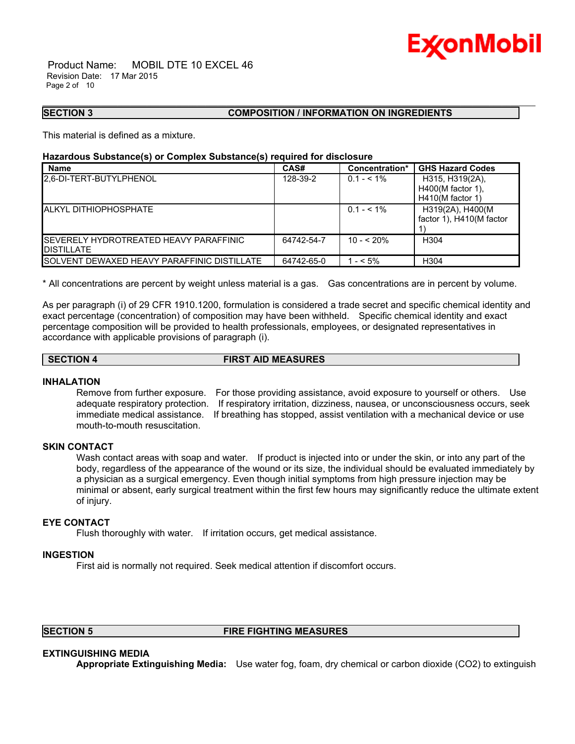

 Product Name: MOBIL DTE 10 EXCEL 46 Revision Date: 17 Mar 2015 Page 2 of 10

#### **SECTION 3 COMPOSITION / INFORMATION ON INGREDIENTS**

This material is defined as a mixture.

#### **Hazardous Substance(s) or Complex Substance(s) required for disclosure**

| <b>Name</b>                                         | CAS#       | Concentration* | <b>GHS Hazard Codes</b>  |
|-----------------------------------------------------|------------|----------------|--------------------------|
| 2.6-DI-TERT-BUTYLPHENOL                             | 128-39-2   | $0.1 - 5.1\%$  | H315, H319(2A),          |
|                                                     |            |                | H400(M factor 1),        |
|                                                     |            |                | $H410(M$ factor 1)       |
| <b>IALKYL DITHIOPHOSPHATE</b>                       |            | $0.1 - 5.1\%$  | H319(2A), H400(M         |
|                                                     |            |                | factor 1), H410(M factor |
|                                                     |            |                |                          |
| <b>I</b> SEVERELY HYDROTREATED HEAVY PARAFFINIC     | 64742-54-7 | $10 - 520%$    | H <sub>304</sub>         |
| <b>DISTILLATE</b>                                   |            |                |                          |
| <b>ISOLVENT DEWAXED HEAVY PARAFFINIC DISTILLATE</b> | 64742-65-0 | $- < 5\%$      | H <sub>304</sub>         |

\_\_\_\_\_\_\_\_\_\_\_\_\_\_\_\_\_\_\_\_\_\_\_\_\_\_\_\_\_\_\_\_\_\_\_\_\_\_\_\_\_\_\_\_\_\_\_\_\_\_\_\_\_\_\_\_\_\_\_\_\_\_\_\_\_\_\_\_\_\_\_\_\_\_\_\_\_\_\_\_\_\_\_\_\_\_\_\_\_\_\_\_\_\_\_\_\_\_\_\_\_\_\_\_\_\_\_\_\_\_\_\_\_\_\_\_\_\_

\* All concentrations are percent by weight unless material is a gas. Gas concentrations are in percent by volume.

As per paragraph (i) of 29 CFR 1910.1200, formulation is considered a trade secret and specific chemical identity and exact percentage (concentration) of composition may have been withheld. Specific chemical identity and exact percentage composition will be provided to health professionals, employees, or designated representatives in accordance with applicable provisions of paragraph (i).

## **SECTION 4 FIRST AID MEASURES**

#### **INHALATION**

Remove from further exposure. For those providing assistance, avoid exposure to yourself or others. Use adequate respiratory protection. If respiratory irritation, dizziness, nausea, or unconsciousness occurs, seek immediate medical assistance. If breathing has stopped, assist ventilation with a mechanical device or use mouth-to-mouth resuscitation.

#### **SKIN CONTACT**

Wash contact areas with soap and water. If product is injected into or under the skin, or into any part of the body, regardless of the appearance of the wound or its size, the individual should be evaluated immediately by a physician as a surgical emergency. Even though initial symptoms from high pressure injection may be minimal or absent, early surgical treatment within the first few hours may significantly reduce the ultimate extent of injury.

## **EYE CONTACT**

Flush thoroughly with water. If irritation occurs, get medical assistance.

#### **INGESTION**

First aid is normally not required. Seek medical attention if discomfort occurs.

## **SECTION 5 FIRE FIGHTING MEASURES**

### **EXTINGUISHING MEDIA**

**Appropriate Extinguishing Media:** Use water fog, foam, dry chemical or carbon dioxide (CO2) to extinguish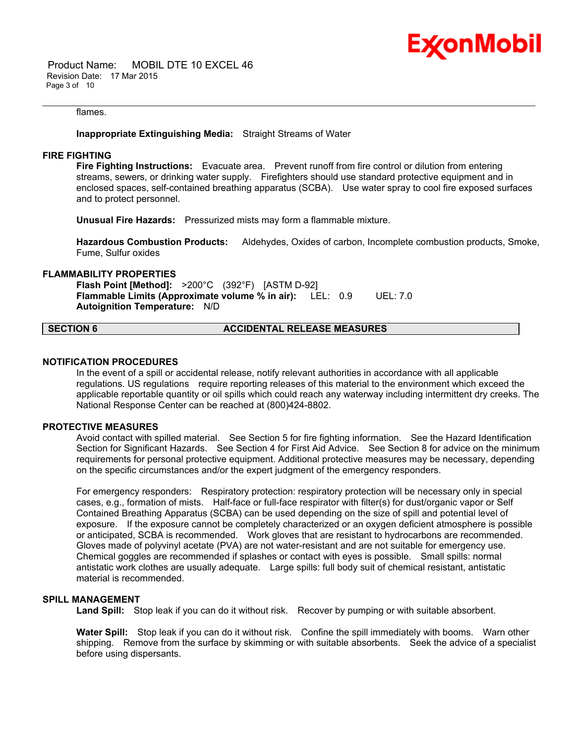

 Product Name: MOBIL DTE 10 EXCEL 46 Revision Date: 17 Mar 2015 Page 3 of 10

#### flames.

#### **Inappropriate Extinguishing Media:** Straight Streams of Water

#### **FIRE FIGHTING**

**Fire Fighting Instructions:** Evacuate area. Prevent runoff from fire control or dilution from entering streams, sewers, or drinking water supply. Firefighters should use standard protective equipment and in enclosed spaces, self-contained breathing apparatus (SCBA). Use water spray to cool fire exposed surfaces and to protect personnel.

\_\_\_\_\_\_\_\_\_\_\_\_\_\_\_\_\_\_\_\_\_\_\_\_\_\_\_\_\_\_\_\_\_\_\_\_\_\_\_\_\_\_\_\_\_\_\_\_\_\_\_\_\_\_\_\_\_\_\_\_\_\_\_\_\_\_\_\_\_\_\_\_\_\_\_\_\_\_\_\_\_\_\_\_\_\_\_\_\_\_\_\_\_\_\_\_\_\_\_\_\_\_\_\_\_\_\_\_\_\_\_\_\_\_\_\_\_\_

**Unusual Fire Hazards:** Pressurized mists may form a flammable mixture.

**Hazardous Combustion Products:** Aldehydes, Oxides of carbon, Incomplete combustion products, Smoke, Fume, Sulfur oxides

## **FLAMMABILITY PROPERTIES**

**Flash Point [Method]:** >200°C (392°F) [ASTM D-92] **Flammable Limits (Approximate volume % in air):** LEL: 0.9 UEL: 7.0 **Autoignition Temperature:** N/D

#### **SECTION 6 ACCIDENTAL RELEASE MEASURES**

#### **NOTIFICATION PROCEDURES**

In the event of a spill or accidental release, notify relevant authorities in accordance with all applicable regulations. US regulations require reporting releases of this material to the environment which exceed the applicable reportable quantity or oil spills which could reach any waterway including intermittent dry creeks. The National Response Center can be reached at (800)424-8802.

#### **PROTECTIVE MEASURES**

Avoid contact with spilled material. See Section 5 for fire fighting information. See the Hazard Identification Section for Significant Hazards. See Section 4 for First Aid Advice. See Section 8 for advice on the minimum requirements for personal protective equipment. Additional protective measures may be necessary, depending on the specific circumstances and/or the expert judgment of the emergency responders.

For emergency responders: Respiratory protection: respiratory protection will be necessary only in special cases, e.g., formation of mists. Half-face or full-face respirator with filter(s) for dust/organic vapor or Self Contained Breathing Apparatus (SCBA) can be used depending on the size of spill and potential level of exposure. If the exposure cannot be completely characterized or an oxygen deficient atmosphere is possible or anticipated, SCBA is recommended. Work gloves that are resistant to hydrocarbons are recommended. Gloves made of polyvinyl acetate (PVA) are not water-resistant and are not suitable for emergency use. Chemical goggles are recommended if splashes or contact with eyes is possible. Small spills: normal antistatic work clothes are usually adequate. Large spills: full body suit of chemical resistant, antistatic material is recommended.

## **SPILL MANAGEMENT**

Land Spill: Stop leak if you can do it without risk. Recover by pumping or with suitable absorbent.

**Water Spill:** Stop leak if you can do it without risk. Confine the spill immediately with booms. Warn other shipping. Remove from the surface by skimming or with suitable absorbents. Seek the advice of a specialist before using dispersants.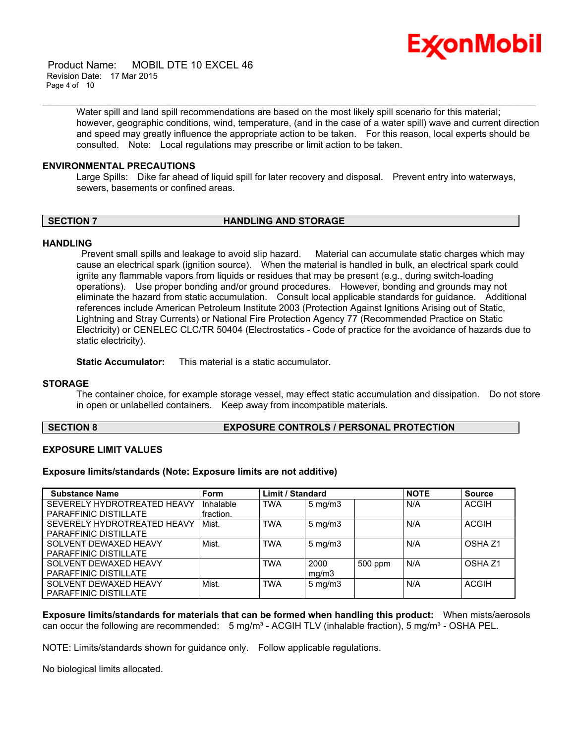

 Product Name: MOBIL DTE 10 EXCEL 46 Revision Date: 17 Mar 2015 Page 4 of 10

> Water spill and land spill recommendations are based on the most likely spill scenario for this material; however, geographic conditions, wind, temperature, (and in the case of a water spill) wave and current direction and speed may greatly influence the appropriate action to be taken. For this reason, local experts should be consulted. Note: Local regulations may prescribe or limit action to be taken.

\_\_\_\_\_\_\_\_\_\_\_\_\_\_\_\_\_\_\_\_\_\_\_\_\_\_\_\_\_\_\_\_\_\_\_\_\_\_\_\_\_\_\_\_\_\_\_\_\_\_\_\_\_\_\_\_\_\_\_\_\_\_\_\_\_\_\_\_\_\_\_\_\_\_\_\_\_\_\_\_\_\_\_\_\_\_\_\_\_\_\_\_\_\_\_\_\_\_\_\_\_\_\_\_\_\_\_\_\_\_\_\_\_\_\_\_\_\_

#### **ENVIRONMENTAL PRECAUTIONS**

Large Spills: Dike far ahead of liquid spill for later recovery and disposal. Prevent entry into waterways, sewers, basements or confined areas.

#### **SECTION 7 HANDLING AND STORAGE**

#### **HANDLING**

 Prevent small spills and leakage to avoid slip hazard. Material can accumulate static charges which may cause an electrical spark (ignition source). When the material is handled in bulk, an electrical spark could ignite any flammable vapors from liquids or residues that may be present (e.g., during switch-loading operations). Use proper bonding and/or ground procedures. However, bonding and grounds may not eliminate the hazard from static accumulation. Consult local applicable standards for guidance. Additional references include American Petroleum Institute 2003 (Protection Against Ignitions Arising out of Static, Lightning and Stray Currents) or National Fire Protection Agency 77 (Recommended Practice on Static Electricity) or CENELEC CLC/TR 50404 (Electrostatics - Code of practice for the avoidance of hazards due to static electricity).

**Static Accumulator:** This material is a static accumulator.

#### **STORAGE**

The container choice, for example storage vessel, may effect static accumulation and dissipation. Do not store in open or unlabelled containers. Keep away from incompatible materials.

**SECTION 8 EXPOSURE CONTROLS / PERSONAL PROTECTION**

## **EXPOSURE LIMIT VALUES**

#### **Exposure limits/standards (Note: Exposure limits are not additive)**

| <b>Substance Name</b>        | <b>Form</b> | <b>Limit / Standard</b> |                  |         | <b>NOTE</b> | <b>Source</b>      |
|------------------------------|-------------|-------------------------|------------------|---------|-------------|--------------------|
| SEVERELY HYDROTREATED HEAVY  | Inhalable   | <b>TWA</b>              | $5$ mg/m $3$     |         | N/A         | <b>ACGIH</b>       |
| PARAFFINIC DISTILLATE        | fraction.   |                         |                  |         |             |                    |
| SEVERELY HYDROTREATED HEAVY  | Mist.       | <b>TWA</b>              | $5$ mg/m $3$     |         | N/A         | <b>ACGIH</b>       |
| <b>PARAFFINIC DISTILLATE</b> |             |                         |                  |         |             |                    |
| SOLVENT DEWAXED HEAVY        | Mist.       | <b>TWA</b>              | $5 \text{ mg/m}$ |         | N/A         | OSHA <sub>Z1</sub> |
| <b>PARAFFINIC DISTILLATE</b> |             |                         |                  |         |             |                    |
| SOLVENT DEWAXED HEAVY        |             | <b>TWA</b>              | 2000             | 500 ppm | N/A         | OSHA <sub>Z1</sub> |
| PARAFFINIC DISTILLATE        |             |                         | mq/m3            |         |             |                    |
| SOLVENT DEWAXED HEAVY        | Mist.       | <b>TWA</b>              | $5 \text{ mg/m}$ |         | N/A         | ACGIH              |
| <b>PARAFFINIC DISTILLATE</b> |             |                         |                  |         |             |                    |

**Exposure limits/standards for materials that can be formed when handling this product:** When mists/aerosols can occur the following are recommended:  $5 \text{ mg/m}^3$  - ACGIH TLV (inhalable fraction),  $5 \text{ mg/m}^3$  - OSHA PEL.

NOTE: Limits/standards shown for guidance only. Follow applicable regulations.

No biological limits allocated.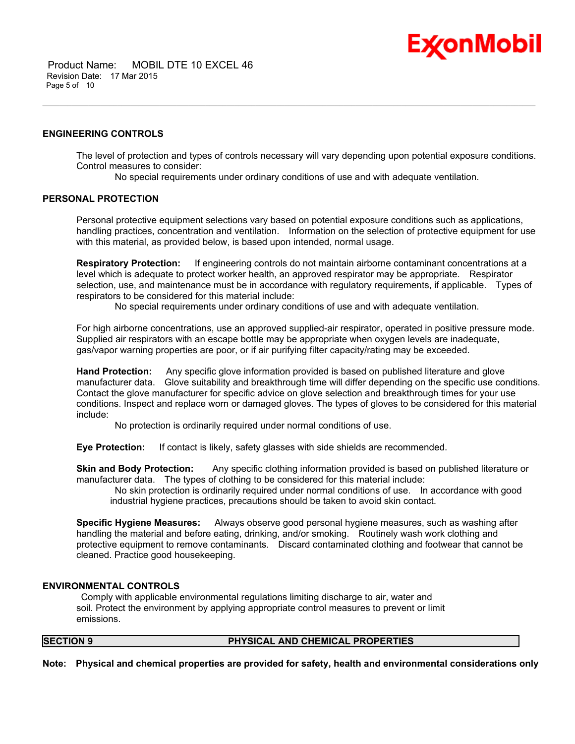

 Product Name: MOBIL DTE 10 EXCEL 46 Revision Date: 17 Mar 2015 Page 5 of 10

#### **ENGINEERING CONTROLS**

The level of protection and types of controls necessary will vary depending upon potential exposure conditions. Control measures to consider:

No special requirements under ordinary conditions of use and with adequate ventilation.

\_\_\_\_\_\_\_\_\_\_\_\_\_\_\_\_\_\_\_\_\_\_\_\_\_\_\_\_\_\_\_\_\_\_\_\_\_\_\_\_\_\_\_\_\_\_\_\_\_\_\_\_\_\_\_\_\_\_\_\_\_\_\_\_\_\_\_\_\_\_\_\_\_\_\_\_\_\_\_\_\_\_\_\_\_\_\_\_\_\_\_\_\_\_\_\_\_\_\_\_\_\_\_\_\_\_\_\_\_\_\_\_\_\_\_\_\_\_

#### **PERSONAL PROTECTION**

Personal protective equipment selections vary based on potential exposure conditions such as applications, handling practices, concentration and ventilation. Information on the selection of protective equipment for use with this material, as provided below, is based upon intended, normal usage.

**Respiratory Protection:** If engineering controls do not maintain airborne contaminant concentrations at a level which is adequate to protect worker health, an approved respirator may be appropriate. Respirator selection, use, and maintenance must be in accordance with regulatory requirements, if applicable. Types of respirators to be considered for this material include:

No special requirements under ordinary conditions of use and with adequate ventilation.

For high airborne concentrations, use an approved supplied-air respirator, operated in positive pressure mode. Supplied air respirators with an escape bottle may be appropriate when oxygen levels are inadequate, gas/vapor warning properties are poor, or if air purifying filter capacity/rating may be exceeded.

**Hand Protection:** Any specific glove information provided is based on published literature and glove manufacturer data. Glove suitability and breakthrough time will differ depending on the specific use conditions. Contact the glove manufacturer for specific advice on glove selection and breakthrough times for your use conditions. Inspect and replace worn or damaged gloves. The types of gloves to be considered for this material include:

No protection is ordinarily required under normal conditions of use.

**Eye Protection:** If contact is likely, safety glasses with side shields are recommended.

**Skin and Body Protection:** Any specific clothing information provided is based on published literature or manufacturer data. The types of clothing to be considered for this material include:

 No skin protection is ordinarily required under normal conditions of use. In accordance with good industrial hygiene practices, precautions should be taken to avoid skin contact.

**Specific Hygiene Measures:** Always observe good personal hygiene measures, such as washing after handling the material and before eating, drinking, and/or smoking. Routinely wash work clothing and protective equipment to remove contaminants. Discard contaminated clothing and footwear that cannot be cleaned. Practice good housekeeping.

#### **ENVIRONMENTAL CONTROLS**

 Comply with applicable environmental regulations limiting discharge to air, water and soil. Protect the environment by applying appropriate control measures to prevent or limit emissions.

## **SECTION 9 PHYSICAL AND CHEMICAL PROPERTIES**

**Note: Physical and chemical properties are provided for safety, health and environmental considerations only**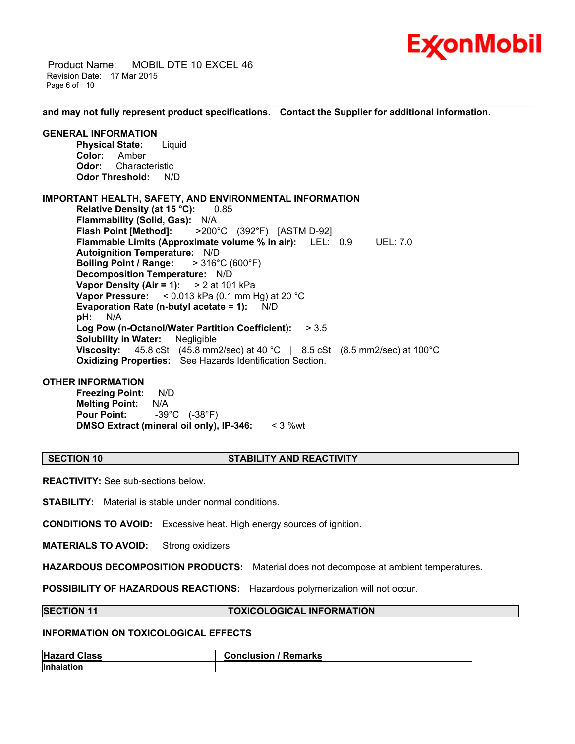

 Product Name: MOBIL DTE 10 EXCEL 46 Revision Date: 17 Mar 2015 Page 6 of 10

**and may not fully represent product specifications. Contact the Supplier for additional information.**

\_\_\_\_\_\_\_\_\_\_\_\_\_\_\_\_\_\_\_\_\_\_\_\_\_\_\_\_\_\_\_\_\_\_\_\_\_\_\_\_\_\_\_\_\_\_\_\_\_\_\_\_\_\_\_\_\_\_\_\_\_\_\_\_\_\_\_\_\_\_\_\_\_\_\_\_\_\_\_\_\_\_\_\_\_\_\_\_\_\_\_\_\_\_\_\_\_\_\_\_\_\_\_\_\_\_\_\_\_\_\_\_\_\_\_\_\_\_

#### **GENERAL INFORMATION**

**Physical State:** Liquid **Color:** Amber **Odor:** Characteristic **Odor Threshold:** N/D

## **IMPORTANT HEALTH, SAFETY, AND ENVIRONMENTAL INFORMATION**

**Relative Density (at 15 °C):** 0.85 **Flammability (Solid, Gas):** N/A **Flash Point [Method]:** >200°C (392°F) [ASTM D-92] **Flammable Limits (Approximate volume % in air):** LEL: 0.9 UEL: 7.0 **Autoignition Temperature:** N/D **Boiling Point / Range:** > 316°C (600°F) **Decomposition Temperature:** N/D **Vapor Density (Air = 1):** > 2 at 101 kPa **Vapor Pressure:** < 0.013 kPa (0.1 mm Hg) at 20 °C **Evaporation Rate (n-butyl acetate = 1):** N/D **pH:** N/A **Log Pow (n-Octanol/Water Partition Coefficient):** > 3.5 **Solubility in Water:** Negligible **Viscosity:** 45.8 cSt (45.8 mm2/sec) at 40 °C | 8.5 cSt (8.5 mm2/sec) at 100°C **Oxidizing Properties:** See Hazards Identification Section.

### **OTHER INFORMATION**

**Freezing Point:** N/D **Melting Point:** N/A **Pour Point:** -39°C (-38°F) **DMSO Extract (mineral oil only), IP-346:** < 3 %wt

### **SECTION 10 STABILITY AND REACTIVITY**

**REACTIVITY:** See sub-sections below.

**STABILITY:** Material is stable under normal conditions.

**CONDITIONS TO AVOID:** Excessive heat. High energy sources of ignition.

**MATERIALS TO AVOID:** Strong oxidizers

**HAZARDOUS DECOMPOSITION PRODUCTS:** Material does not decompose at ambient temperatures.

**POSSIBILITY OF HAZARDOUS REACTIONS:** Hazardous polymerization will not occur.

#### **SECTION 11 TOXICOLOGICAL INFORMATION**

#### **INFORMATION ON TOXICOLOGICAL EFFECTS**

| <b>Hazard Class</b> | / Remarks<br>Conclusion / |
|---------------------|---------------------------|
| Inhalation          |                           |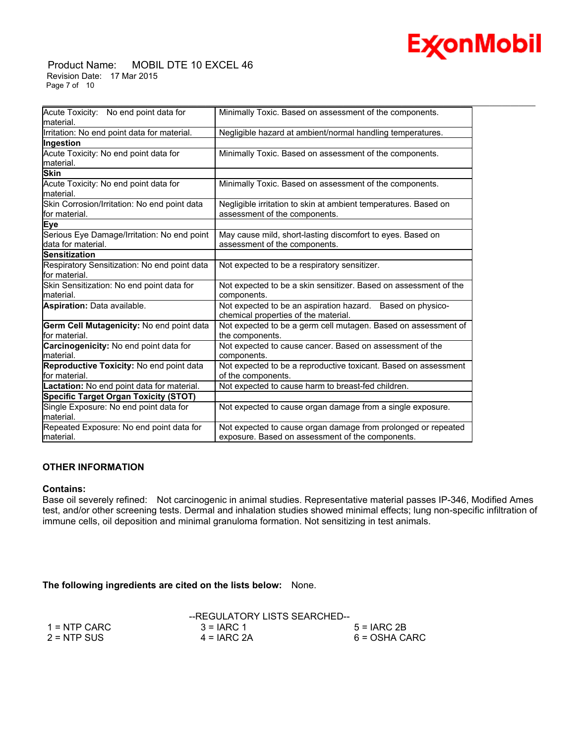

#### Product Name: MOBIL DTE 10 EXCEL 46 Revision Date: 17 Mar 2015 Page 7 of 10

| Acute Toxicity: No end point data for<br>Minimally Toxic. Based on assessment of the components.<br>lmaterial.<br>Irritation: No end point data for material.<br>Negligible hazard at ambient/normal handling temperatures. |
|-----------------------------------------------------------------------------------------------------------------------------------------------------------------------------------------------------------------------------|
|                                                                                                                                                                                                                             |
|                                                                                                                                                                                                                             |
| Ingestion                                                                                                                                                                                                                   |
| Acute Toxicity: No end point data for<br>Minimally Toxic. Based on assessment of the components.<br>material.                                                                                                               |
| <b>Skin</b>                                                                                                                                                                                                                 |
| Acute Toxicity: No end point data for<br>Minimally Toxic. Based on assessment of the components.<br>Imaterial.                                                                                                              |
| Skin Corrosion/Irritation: No end point data<br>Negligible irritation to skin at ambient temperatures. Based on<br>lfor material.<br>assessment of the components.                                                          |
| Eye                                                                                                                                                                                                                         |
| Serious Eye Damage/Irritation: No end point<br>May cause mild, short-lasting discomfort to eyes. Based on<br>ldata for material.<br>assessment of the components.                                                           |
| Sensitization                                                                                                                                                                                                               |
| Respiratory Sensitization: No end point data<br>Not expected to be a respiratory sensitizer.<br>lfor material.                                                                                                              |
| Skin Sensitization: No end point data for<br>Not expected to be a skin sensitizer. Based on assessment of the<br>components.<br>Imaterial.                                                                                  |
| Aspiration: Data available.<br>Not expected to be an aspiration hazard. Based on physico-<br>chemical properties of the material.                                                                                           |
| Germ Cell Mutagenicity: No end point data<br>Not expected to be a germ cell mutagen. Based on assessment of<br>lfor material.<br>the components.                                                                            |
| Carcinogenicity: No end point data for<br>Not expected to cause cancer. Based on assessment of the<br>material.<br>components.                                                                                              |
| Reproductive Toxicity: No end point data<br>Not expected to be a reproductive toxicant. Based on assessment<br>lfor material.<br>of the components.                                                                         |
| Lactation: No end point data for material.<br>Not expected to cause harm to breast-fed children.                                                                                                                            |
| <b>Specific Target Organ Toxicity (STOT)</b>                                                                                                                                                                                |
| Single Exposure: No end point data for<br>Not expected to cause organ damage from a single exposure.<br>material.                                                                                                           |
| Repeated Exposure: No end point data for<br>Not expected to cause organ damage from prolonged or repeated<br>exposure. Based on assessment of the components.<br>Imaterial.                                                 |

## **OTHER INFORMATION**

#### **Contains:**

Base oil severely refined: Not carcinogenic in animal studies. Representative material passes IP-346, Modified Ames test, and/or other screening tests. Dermal and inhalation studies showed minimal effects; lung non-specific infiltration of immune cells, oil deposition and minimal granuloma formation. Not sensitizing in test animals.

**The following ingredients are cited on the lists below:** None.

|                | --REGULATORY LISTS SEARCHED-- |               |
|----------------|-------------------------------|---------------|
| $1 =$ NTP CARC | $3 = IARC 1$                  | $5 = IARC2B$  |
| $2 = NTP$ SUS  | $4 = IARC 2A$                 | 6 = OSHA CARC |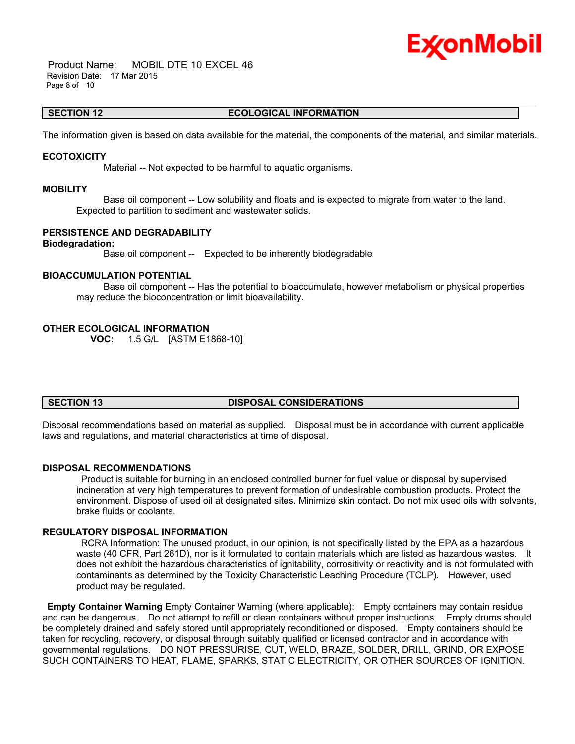# Ex⁄onMobil

 Product Name: MOBIL DTE 10 EXCEL 46 Revision Date: 17 Mar 2015 Page 8 of 10

#### \_\_\_\_\_\_\_\_\_\_\_\_\_\_\_\_\_\_\_\_\_\_\_\_\_\_\_\_\_\_\_\_\_\_\_\_\_\_\_\_\_\_\_\_\_\_\_\_\_\_\_\_\_\_\_\_\_\_\_\_\_\_\_\_\_\_\_\_\_\_\_\_\_\_\_\_\_\_\_\_\_\_\_\_\_\_\_\_\_\_\_\_\_\_\_\_\_\_\_\_\_\_\_\_\_\_\_\_\_\_\_\_\_\_\_\_\_\_ **SECTION 12 ECOLOGICAL INFORMATION**

The information given is based on data available for the material, the components of the material, and similar materials.

#### **ECOTOXICITY**

Material -- Not expected to be harmful to aquatic organisms.

#### **MOBILITY**

 Base oil component -- Low solubility and floats and is expected to migrate from water to the land. Expected to partition to sediment and wastewater solids.

### **PERSISTENCE AND DEGRADABILITY**

#### **Biodegradation:**

Base oil component -- Expected to be inherently biodegradable

#### **BIOACCUMULATION POTENTIAL**

 Base oil component -- Has the potential to bioaccumulate, however metabolism or physical properties may reduce the bioconcentration or limit bioavailability.

#### **OTHER ECOLOGICAL INFORMATION**

**VOC:** 1.5 G/L [ASTM E1868-10]

## **SECTION 13 DISPOSAL CONSIDERATIONS**

Disposal recommendations based on material as supplied. Disposal must be in accordance with current applicable laws and regulations, and material characteristics at time of disposal.

### **DISPOSAL RECOMMENDATIONS**

 Product is suitable for burning in an enclosed controlled burner for fuel value or disposal by supervised incineration at very high temperatures to prevent formation of undesirable combustion products. Protect the environment. Dispose of used oil at designated sites. Minimize skin contact. Do not mix used oils with solvents, brake fluids or coolants.

### **REGULATORY DISPOSAL INFORMATION**

 RCRA Information: The unused product, in our opinion, is not specifically listed by the EPA as a hazardous waste (40 CFR, Part 261D), nor is it formulated to contain materials which are listed as hazardous wastes. It does not exhibit the hazardous characteristics of ignitability, corrositivity or reactivity and is not formulated with contaminants as determined by the Toxicity Characteristic Leaching Procedure (TCLP). However, used product may be regulated.

**Empty Container Warning** Empty Container Warning (where applicable): Empty containers may contain residue and can be dangerous. Do not attempt to refill or clean containers without proper instructions. Empty drums should be completely drained and safely stored until appropriately reconditioned or disposed. Empty containers should be taken for recycling, recovery, or disposal through suitably qualified or licensed contractor and in accordance with governmental regulations. DO NOT PRESSURISE, CUT, WELD, BRAZE, SOLDER, DRILL, GRIND, OR EXPOSE SUCH CONTAINERS TO HEAT, FLAME, SPARKS, STATIC ELECTRICITY, OR OTHER SOURCES OF IGNITION.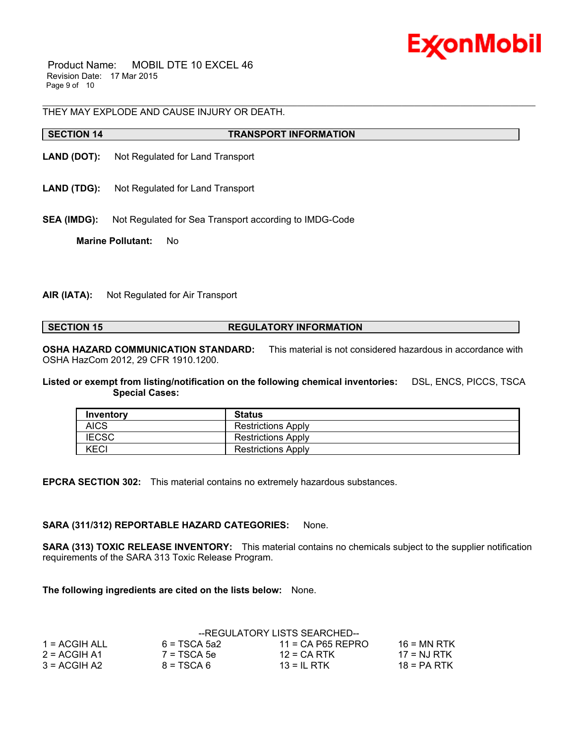

 Product Name: MOBIL DTE 10 EXCEL 46 Revision Date: 17 Mar 2015 Page 9 of 10

THEY MAY EXPLODE AND CAUSE INJURY OR DEATH.

#### **SECTION 14 TRANSPORT INFORMATION**

**LAND (DOT):** Not Regulated for Land Transport

- **LAND (TDG):** Not Regulated for Land Transport
- **SEA (IMDG):** Not Regulated for Sea Transport according to IMDG-Code

**Marine Pollutant:** No

#### **AIR (IATA):** Not Regulated for Air Transport

**SECTION 15 REGULATORY INFORMATION** 

\_\_\_\_\_\_\_\_\_\_\_\_\_\_\_\_\_\_\_\_\_\_\_\_\_\_\_\_\_\_\_\_\_\_\_\_\_\_\_\_\_\_\_\_\_\_\_\_\_\_\_\_\_\_\_\_\_\_\_\_\_\_\_\_\_\_\_\_\_\_\_\_\_\_\_\_\_\_\_\_\_\_\_\_\_\_\_\_\_\_\_\_\_\_\_\_\_\_\_\_\_\_\_\_\_\_\_\_\_\_\_\_\_\_\_\_\_\_

**OSHA HAZARD COMMUNICATION STANDARD:** This material is not considered hazardous in accordance with OSHA HazCom 2012, 29 CFR 1910.1200.

**Listed or exempt from listing/notification on the following chemical inventories:** DSL, ENCS, PICCS, TSCA  **Special Cases:**

| Inventory    | <b>Status</b>             |
|--------------|---------------------------|
| <b>AICS</b>  | <b>Restrictions Apply</b> |
| <b>IECSC</b> | <b>Restrictions Apply</b> |
| KECI         | <b>Restrictions Apply</b> |

**EPCRA SECTION 302:** This material contains no extremely hazardous substances.

### **SARA (311/312) REPORTABLE HAZARD CATEGORIES:** None.

**SARA (313) TOXIC RELEASE INVENTORY:** This material contains no chemicals subject to the supplier notification requirements of the SARA 313 Toxic Release Program.

**The following ingredients are cited on the lists below:** None.

|                |                | --REGULATORY LISTS SEARCHED-- |               |
|----------------|----------------|-------------------------------|---------------|
| 1 = ACGIH ALL  | $6 = TSCA$ 5a2 | $11 = CA$ P65 REPRO           | $16$ = MN RTK |
| $2 = ACGIH A1$ | $7 = TSCA$ 5e  | $12$ = CA RTK                 | 17 = NJ RTK   |
| $3 = ACGH A2$  | $8 = TSCA6$    | $13 = IL$ RTK                 | $18 = PA RTK$ |